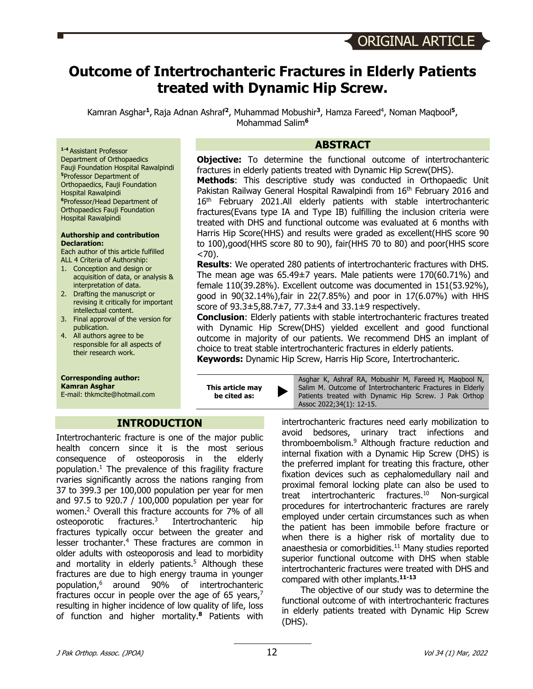# **Outcome of Intertrochanteric Fractures in Elderly Patients treated with Dynamic Hip Screw.**

Kamran Asghar<sup>1</sup>, Raja Adnan Ashraf<sup>2</sup>, Muhammad Mobushir<sup>3</sup>, Hamza Fareed<sup>4</sup>, Noman Maqbool<sup>5</sup>, Mohammad Salim**<sup>6</sup>**

**ABSTRACT**

**Objective:** To determine the functional outcome of intertrochanteric fractures in elderly patients treated with Dynamic Hip Screw(DHS).

**Methods**: This descriptive study was conducted in Orthopaedic Unit Pakistan Railway General Hospital Rawalpindi from 16<sup>th</sup> February 2016 and 16<sup>th</sup> February 2021.All elderly patients with stable intertrochanteric fractures(Evans type IA and Type IB) fulfilling the inclusion criteria were treated with DHS and functional outcome was evaluated at 6 months with Harris Hip Score(HHS) and results were graded as excellent(HHS score 90 to 100),good(HHS score 80 to 90), fair(HHS 70 to 80) and poor(HHS score  $< 70$ ).

**Results**: We operated 280 patients of intertrochanteric fractures with DHS. The mean age was 65.49±7 years. Male patients were 170(60.71%) and female 110(39.28%). Excellent outcome was documented in 151(53.92%), good in 90(32.14%),fair in 22(7.85%) and poor in 17(6.07%) with HHS score of 93.3±5,88.7±7, 77.3±4 and 33.1±9 respectively.

**Conclusion**: Elderly patients with stable intertrochanteric fractures treated with Dynamic Hip Screw(DHS) yielded excellent and good functional outcome in majority of our patients. We recommend DHS an implant of choice to treat stable intertrochanteric fractures in elderly patients.

**Keywords:** Dynamic Hip Screw, Harris Hip Score, Intertrochanteric.

**1-4** Assistant Professor Department of Orthopaedics Fauji Foundation Hospital Rawalpindi **<sup>5</sup>**Professor Department of Orthopaedics, Fauji Foundation Hospital Rawalpindi **<sup>6</sup>**Professor/Head Department of Orthopaedics Fauji Foundation Hospital Rawalpindi

#### **Authorship and contribution Declaration:**

Each author of this article fulfilled ALL 4 Criteria of Authorship:

- 1. Conception and design or acquisition of data, or analysis & interpretation of data.
- 2. Drafting the manuscript or revising it critically for important intellectual content.
- 3. Final approval of the version for publication.
- 4. All authors agree to be responsible for all aspects of their research work.

# **Corresponding author:**

**Kamran Asghar**

E-mail: thkmcite@hotmail.com

**This article may be cited as:** 

**INTRODUCTION**

Intertrochanteric fracture is one of the major public health concern since it is the most serious consequence of osteoporosis in the elderly population. <sup>1</sup> The prevalence of this fragility fracture rvaries significantly across the nations ranging from 37 to 399.3 per 100,000 population per year for men and 97.5 to 920.7 / 100,000 population per year for women.2 Overall this fracture accounts for 7% of all osteoporotic fractures.3 Intertrochanteric hip fractures typically occur between the greater and lesser trochanter.<sup>4</sup> These fractures are common in older adults with osteoporosis and lead to morbidity and mortality in elderly patients.<sup>5</sup> Although these fractures are due to high energy trauma in younger population,6 around 90% of intertrochanteric fractures occur in people over the age of 65 years,<sup>7</sup> resulting in higher incidence of low quality of life, loss of function and higher mortality.**<sup>8</sup>** Patients with

Asghar K, Ashraf RA, Mobushir M, Fareed H, Maqbool N, Salim M. Outcome of Intertrochanteric Fractures in Elderly Patients treated with Dynamic Hip Screw. J Pak Orthop Assoc 2022;34(1): 12-15.

intertrochanteric fractures need early mobilization to avoid bedsores, urinary tract infections and thromboembolism.9 Although fracture reduction and internal fixation with a Dynamic Hip Screw (DHS) is the preferred implant for treating this fracture, other fixation devices such as cephalomedullary nail and proximal femoral locking plate can also be used to treat intertrochanteric fractures. <sup>10</sup> Non-surgical procedures for intertrochanteric fractures are rarely employed under certain circumstances such as when the patient has been immobile before fracture or when there is a higher risk of mortality due to anaesthesia or comorbidities. $11$  Many studies reported superior functional outcome with DHS when stable intertrochanteric fractures were treated with DHS and compared with other implants.**11-13**

The objective of our study was to determine the functional outcome of with intertrochanteric fractures in elderly patients treated with Dynamic Hip Screw (DHS).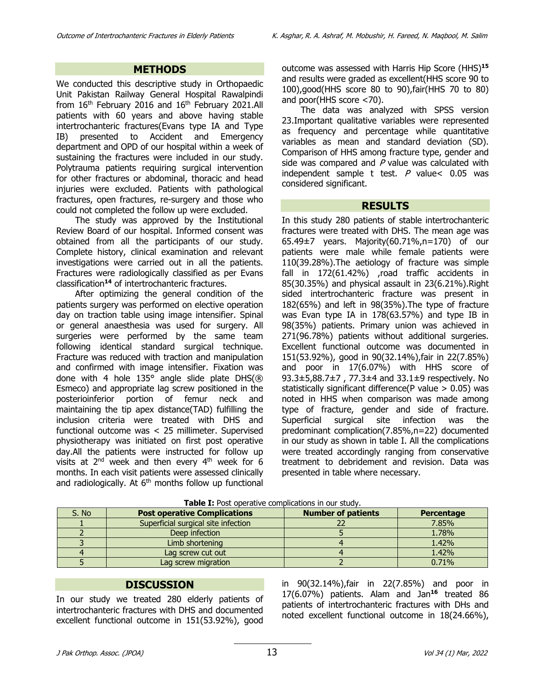#### **METHODS**

We conducted this descriptive study in Orthopaedic Unit Pakistan Railway General Hospital Rawalpindi from  $16<sup>th</sup>$  February 2016 and  $16<sup>th</sup>$  February 2021.All patients with 60 years and above having stable intertrochanteric fractures(Evans type IA and Type IB) presented to Accident and Emergency department and OPD of our hospital within a week of sustaining the fractures were included in our study. Polytrauma patients requiring surgical intervention for other fractures or abdominal, thoracic and head injuries were excluded. Patients with pathological fractures, open fractures, re-surgery and those who could not completed the follow up were excluded.

The study was approved by the Institutional Review Board of our hospital. Informed consent was obtained from all the participants of our study. Complete history, clinical examination and relevant investigations were carried out in all the patients. Fractures were radiologically classified as per Evans classification**<sup>14</sup>** of intertrochanteric fractures.

After optimizing the general condition of the patients surgery was performed on elective operation day on traction table using image intensifier. Spinal or general anaesthesia was used for surgery. All surgeries were performed by the same team following identical standard surgical technique. Fracture was reduced with traction and manipulation and confirmed with image intensifier. Fixation was done with 4 hole 135° angle slide plate DHS(® Esmeco) and appropriate lag screw positioned in the posterioinferior portion of femur neck and maintaining the tip apex distance(TAD) fulfilling the inclusion criteria were treated with DHS and functional outcome was < 25 millimeter. Supervised physiotherapy was initiated on first post operative day.All the patients were instructed for follow up visits at  $2<sup>nd</sup>$  week and then every  $4<sup>th</sup>$  week for 6 months. In each visit patients were assessed clinically and radiologically. At  $6<sup>th</sup>$  months follow up functional outcome was assessed with Harris Hip Score (HHS)**<sup>15</sup>** and results were graded as excellent(HHS score 90 to 100),good(HHS score 80 to 90),fair(HHS 70 to 80) and poor(HHS score <70).

The data was analyzed with SPSS version 23.Important qualitative variables were represented as frequency and percentage while quantitative variables as mean and standard deviation (SD). Comparison of HHS among fracture type, gender and side was compared and  $P$  value was calculated with independent sample t test.  $P$  value < 0.05 was considered significant.

#### **RESULTS**

In this study 280 patients of stable intertrochanteric fractures were treated with DHS. The mean age was 65.49±7 years. Majority(60.71%,n=170) of our patients were male while female patients were 110(39.28%).The aetiology of fracture was simple fall in 172(61.42%) ,road traffic accidents in 85(30.35%) and physical assault in 23(6.21%).Right sided intertrochanteric fracture was present in 182(65%) and left in 98(35%).The type of fracture was Evan type IA in 178(63.57%) and type IB in 98(35%) patients. Primary union was achieved in 271(96.78%) patients without additional surgeries. Excellent functional outcome was documented in 151(53.92%), good in 90(32.14%),fair in 22(7.85%) and poor in 17(6.07%) with HHS score of 93.3±5,88.7±7 , 77.3±4 and 33.1±9 respectively. No statistically significant difference(P value > 0.05) was noted in HHS when comparison was made among type of fracture, gender and side of fracture. Superficial surgical site infection was the predominant complication(7.85%,n=22) documented in our study as shown in table I. All the complications were treated accordingly ranging from conservative treatment to debridement and revision. Data was presented in table where necessary.

| S. No | <b>Post operative Complications</b> | <b>Number of patients</b> | Percentage |
|-------|-------------------------------------|---------------------------|------------|
|       | Superficial surgical site infection |                           | 7.85%      |
|       | Deep infection                      |                           | 1.78%      |
|       | Limb shortening                     |                           | 1.42%      |
|       | Lag screw cut out                   |                           | 1.42%      |
|       | Lag screw migration                 |                           | 0.71%      |

| Table I: Post operative complications in our study. |  |
|-----------------------------------------------------|--|
|-----------------------------------------------------|--|

#### **DISCUSSION**

In our study we treated 280 elderly patients of intertrochanteric fractures with DHS and documented excellent functional outcome in 151(53.92%), good in 90(32.14%),fair in 22(7.85%) and poor in 17(6.07%) patients. Alam and Jan**<sup>16</sup>** treated 86 patients of intertrochanteric fractures with DHs and noted excellent functional outcome in 18(24.66%),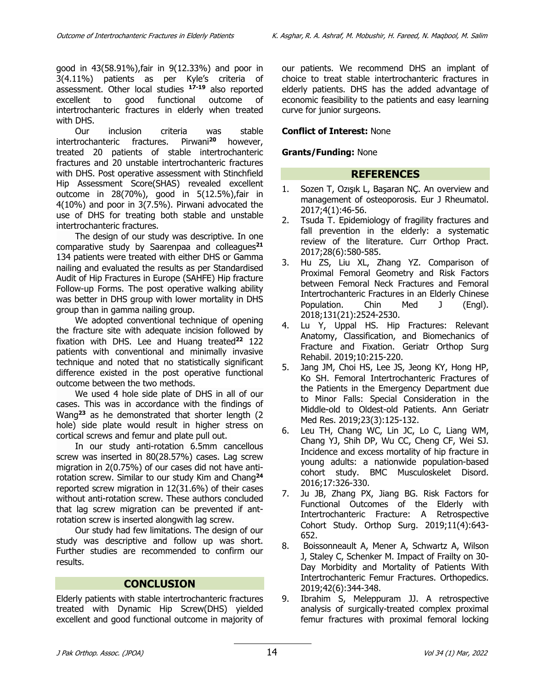good in 43(58.91%),fair in 9(12.33%) and poor in 3(4.11%) patients as per Kyle's criteria of assessment. Other local studies **17-19** also reported excellent to good functional outcome of intertrochanteric fractures in elderly when treated with DHS.

Our inclusion criteria was stable intertrochanteric fractures. Pirwani<sup>20</sup> however, treated 20 patients of stable intertrochanteric fractures and 20 unstable intertrochanteric fractures with DHS. Post operative assessment with Stinchfield Hip Assessment Score(SHAS) revealed excellent outcome in 28(70%), good in 5(12.5%),fair in 4(10%) and poor in 3(7.5%). Pirwani advocated the use of DHS for treating both stable and unstable intertrochanteric fractures.

The design of our study was descriptive. In one comparative study by Saarenpaa and colleagues**<sup>21</sup>** 134 patients were treated with either DHS or Gamma nailing and evaluated the results as per Standardised Audit of Hip Fractures in Europe (SAHFE) Hip fracture Follow-up Forms. The post operative walking ability was better in DHS group with lower mortality in DHS group than in gamma nailing group.

We adopted conventional technique of opening the fracture site with adequate incision followed by fixation with DHS. Lee and Huang treated**<sup>22</sup>** 122 patients with conventional and minimally invasive technique and noted that no statistically significant difference existed in the post operative functional outcome between the two methods.

We used 4 hole side plate of DHS in all of our cases. This was in accordance with the findings of Wang**<sup>23</sup>** as he demonstrated that shorter length (2 hole) side plate would result in higher stress on cortical screws and femur and plate pull out.

In our study anti-rotation 6.5mm cancellous screw was inserted in 80(28.57%) cases. Lag screw migration in 2(0.75%) of our cases did not have antirotation screw. Similar to our study Kim and Chang**<sup>24</sup>** reported screw migration in 12(31.6%) of their cases without anti-rotation screw. These authors concluded that lag screw migration can be prevented if antrotation screw is inserted alongwith lag screw.

Our study had few limitations. The design of our study was descriptive and follow up was short. Further studies are recommended to confirm our results.

# **CONCLUSION**

Elderly patients with stable intertrochanteric fractures treated with Dynamic Hip Screw(DHS) yielded excellent and good functional outcome in majority of our patients. We recommend DHS an implant of choice to treat stable intertrochanteric fractures in elderly patients. DHS has the added advantage of economic feasibility to the patients and easy learning curve for junior surgeons.

#### **Conflict of Interest:** None

#### **Grants/Funding:** None

# **REFERENCES**

- 1. Sozen T, Ozışık L, Başaran NÇ. An overview and management of osteoporosis. Eur J Rheumatol. 2017;4(1):46-56.
- 2. Tsuda T. Epidemiology of fragility fractures and fall prevention in the elderly: a systematic review of the literature. Curr Orthop Pract. 2017;28(6):580-585.
- 3. Hu ZS, Liu XL, Zhang YZ. Comparison of Proximal Femoral Geometry and Risk Factors between Femoral Neck Fractures and Femoral Intertrochanteric Fractures in an Elderly Chinese Population. Chin Med J (Engl). 2018;131(21):2524-2530.
- 4. Lu Y, Uppal HS. Hip Fractures: Relevant Anatomy, Classification, and Biomechanics of Fracture and Fixation. Geriatr Orthop Surg Rehabil. 2019;10:215-220.
- 5. Jang JM, Choi HS, Lee JS, Jeong KY, Hong HP, Ko SH. Femoral Intertrochanteric Fractures of the Patients in the Emergency Department due to Minor Falls: Special Consideration in the Middle-old to Oldest-old Patients. Ann Geriatr Med Res. 2019;23(3):125-132.
- 6. Leu TH, Chang WC, Lin JC, Lo C, Liang WM, Chang YJ, Shih DP, Wu CC, Cheng CF, Wei SJ. Incidence and excess mortality of hip fracture in young adults: a nationwide population-based cohort study. BMC Musculoskelet Disord. 2016;17:326-330.
- 7. Ju JB, Zhang PX, Jiang BG. Risk Factors for Functional Outcomes of the Elderly with Intertrochanteric Fracture: A Retrospective Cohort Study. Orthop Surg. 2019;11(4):643- 652.
- 8. Boissonneault A, Mener A, Schwartz A, Wilson J, Staley C, Schenker M. Impact of Frailty on 30- Day Morbidity and Mortality of Patients With Intertrochanteric Femur Fractures. Orthopedics. 2019;42(6):344-348.
- 9. Ibrahim S, Meleppuram JJ. A retrospective analysis of surgically-treated complex proximal femur fractures with proximal femoral locking